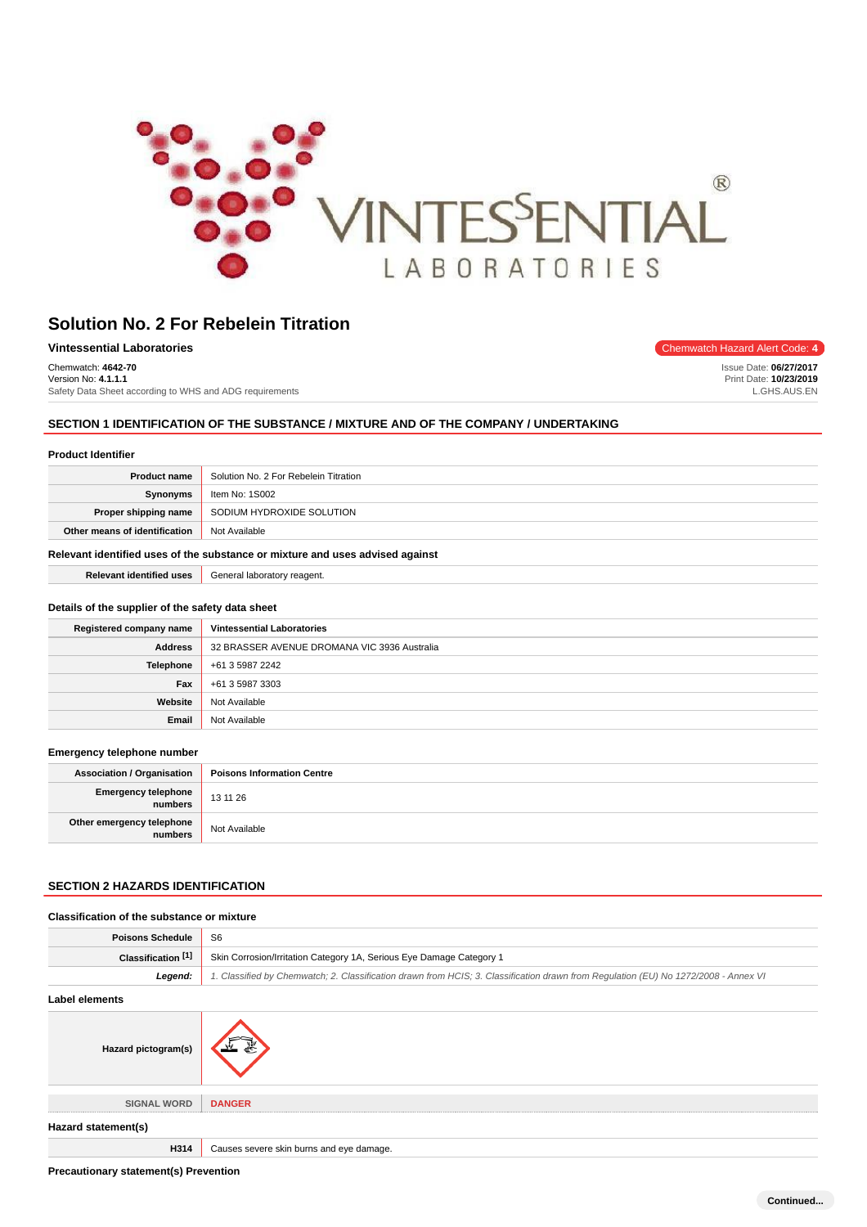

| <b>Vintessential Laboratories</b>                       | Chemwatch Hazard Alert Code: 4 |
|---------------------------------------------------------|--------------------------------|
| Chemwatch: 4642-70                                      | Issue Date: 06/27/2017         |
| Version No: 4.1.1.1                                     | Print Date: 10/23/2019         |
| Safety Data Sheet according to WHS and ADG requirements | L.GHS.AUS.EN                   |

# **SECTION 1 IDENTIFICATION OF THE SUBSTANCE / MIXTURE AND OF THE COMPANY / UNDERTAKING**

| <b>Product Identifier</b> |  |
|---------------------------|--|
|---------------------------|--|

| <b>Product name</b>                                                           | Solution No. 2 For Rebelein Titration |
|-------------------------------------------------------------------------------|---------------------------------------|
| Synonyms                                                                      | Item No: 1S002                        |
| Proper shipping name                                                          | SODIUM HYDROXIDE SOLUTION             |
| Other means of identification                                                 | Not Available                         |
| Relevant identified uses of the substance or mixture and uses advised against |                                       |

**Relevant identified uses** General laboratory reagent.

### **Details of the supplier of the safety data sheet**

| Registered company name | <b>Vintessential Laboratories</b>            |
|-------------------------|----------------------------------------------|
| Address                 | 32 BRASSER AVENUE DROMANA VIC 3936 Australia |
| Telephone               | +61 3 5987 2242                              |
| Fax                     | +61 3 5987 3303                              |
| Website                 | Not Available                                |
| Email                   | Not Available                                |

#### **Emergency telephone number**

| <b>Association / Organisation</b>    | <b>Poisons Information Centre</b> |
|--------------------------------------|-----------------------------------|
| Emergency telephone<br>numbers       | 13 11 26                          |
| Other emergency telephone<br>numbers | Not Available                     |

# **SECTION 2 HAZARDS IDENTIFICATION**

| Classification of the substance or mixture |                                                                                                                                     |
|--------------------------------------------|-------------------------------------------------------------------------------------------------------------------------------------|
| <b>Poisons Schedule</b>                    | S <sub>6</sub>                                                                                                                      |
| Classification [1]                         | Skin Corrosion/Irritation Category 1A, Serious Eye Damage Category 1                                                                |
| Legend:                                    | 1. Classified by Chemwatch; 2. Classification drawn from HCIS; 3. Classification drawn from Regulation (EU) No 1272/2008 - Annex VI |
| Label elements                             |                                                                                                                                     |
| Hazard pictogram(s)                        |                                                                                                                                     |
| <b>SIGNAL WORD</b>                         | <b>DANGER</b>                                                                                                                       |
| Hazard statement(s)                        |                                                                                                                                     |
| H314                                       | Causes severe skin burns and eye damage.                                                                                            |

**Precautionary statement(s) Prevention**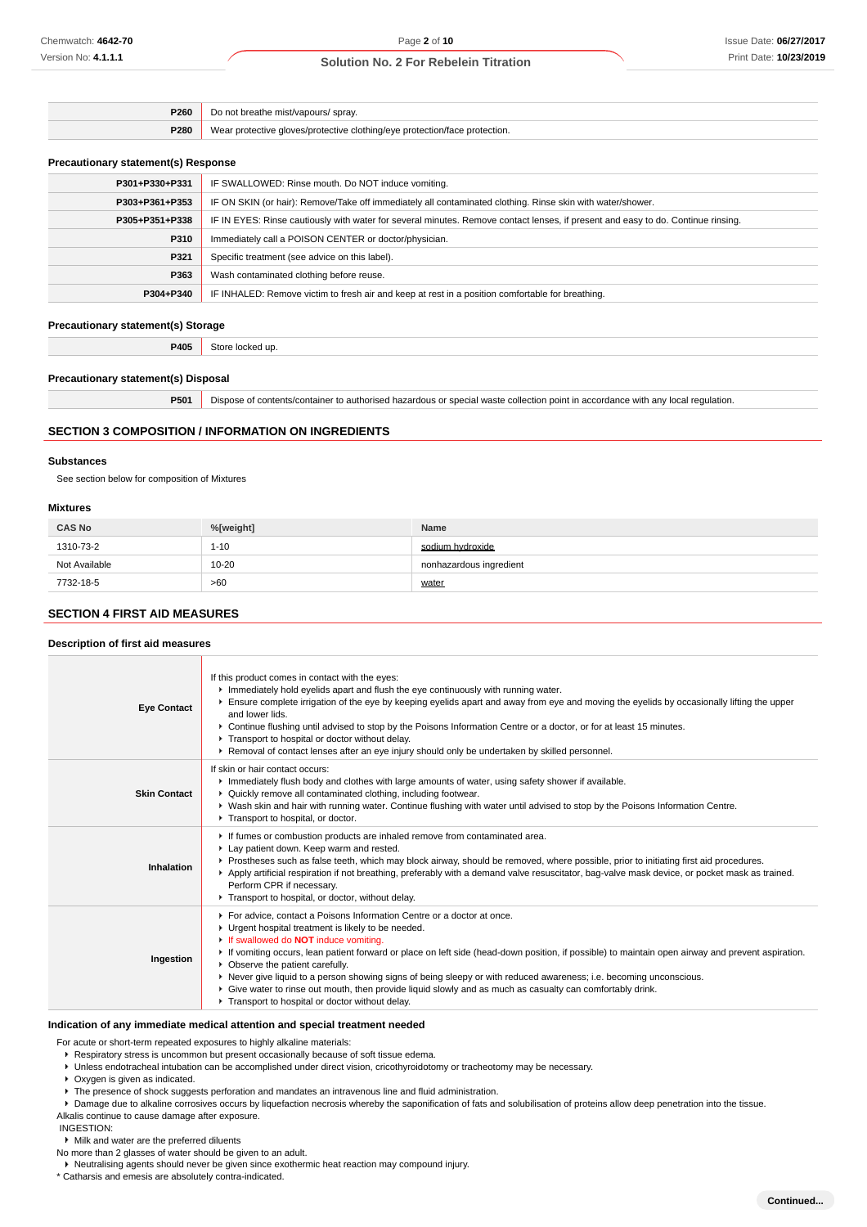| P260        | ' sprav.<br>*/vapours/<br>/reathe mist                                            |
|-------------|-----------------------------------------------------------------------------------|
| <b>P280</b> | tive aloves/protective clothina/eve protection/face :<br>notection.<br>nrotective |

#### **Precautionary statement(s) Response**

| P301+P330+P331 | IF SWALLOWED: Rinse mouth. Do NOT induce vomiting.                                                                               |
|----------------|----------------------------------------------------------------------------------------------------------------------------------|
| P303+P361+P353 | IF ON SKIN (or hair): Remove/Take off immediately all contaminated clothing. Rinse skin with water/shower.                       |
| P305+P351+P338 | IF IN EYES: Rinse cautiously with water for several minutes. Remove contact lenses, if present and easy to do. Continue rinsing. |
| P310           | Immediately call a POISON CENTER or doctor/physician.                                                                            |
| P321           | Specific treatment (see advice on this label).                                                                                   |
| P363           | Wash contaminated clothing before reuse.                                                                                         |
| P304+P340      | IF INHALED: Remove victim to fresh air and keep at rest in a position comfortable for breathing.                                 |
|                |                                                                                                                                  |

### **Precautionary statement(s) Storage**

**P405** Store locked up.

#### **Precautionary statement(s) Disposal**

**P501** Dispose of contents/container to authorised hazardous or special waste collection point in accordance with any local regulation.

#### **SECTION 3 COMPOSITION / INFORMATION ON INGREDIENTS**

#### **Substances**

See section below for composition of Mixtures

#### **Mixtures**

| <b>CAS No</b> | %[weight] | <b>Name</b>             |
|---------------|-----------|-------------------------|
| 1310-73-2     | $1 - 10$  | sodium hydroxide        |
| Not Available | $10 - 20$ | nonhazardous ingredient |
| 7732-18-5     | >60       | water                   |

# **SECTION 4 FIRST AID MEASURES**

#### **Description of first aid measures**

| <b>Eye Contact</b>  | If this product comes in contact with the eyes:<br>Immediately hold eyelids apart and flush the eye continuously with running water.<br>Ensure complete irrigation of the eye by keeping eyelids apart and away from eye and moving the eyelids by occasionally lifting the upper<br>and lower lids.<br>► Continue flushing until advised to stop by the Poisons Information Centre or a doctor, or for at least 15 minutes.<br>Transport to hospital or doctor without delay.<br>▶ Removal of contact lenses after an eye injury should only be undertaken by skilled personnel.                                                                          |
|---------------------|------------------------------------------------------------------------------------------------------------------------------------------------------------------------------------------------------------------------------------------------------------------------------------------------------------------------------------------------------------------------------------------------------------------------------------------------------------------------------------------------------------------------------------------------------------------------------------------------------------------------------------------------------------|
| <b>Skin Contact</b> | If skin or hair contact occurs:<br>Immediately flush body and clothes with large amounts of water, using safety shower if available.<br>▶ Quickly remove all contaminated clothing, including footwear.<br>▶ Wash skin and hair with running water. Continue flushing with water until advised to stop by the Poisons Information Centre.<br>Transport to hospital, or doctor.                                                                                                                                                                                                                                                                             |
| Inhalation          | If fumes or combustion products are inhaled remove from contaminated area.<br>Lay patient down. Keep warm and rested.<br>▶ Prostheses such as false teeth, which may block airway, should be removed, where possible, prior to initiating first aid procedures.<br>Apply artificial respiration if not breathing, preferably with a demand valve resuscitator, bag-valve mask device, or pocket mask as trained.<br>Perform CPR if necessary.<br>Transport to hospital, or doctor, without delay.                                                                                                                                                          |
| Ingestion           | For advice, contact a Poisons Information Centre or a doctor at once.<br>• Urgent hospital treatment is likely to be needed.<br>If swallowed do <b>NOT</b> induce vomiting.<br>If vomiting occurs, lean patient forward or place on left side (head-down position, if possible) to maintain open airway and prevent aspiration.<br>• Observe the patient carefully.<br>▶ Never give liquid to a person showing signs of being sleepy or with reduced awareness; i.e. becoming unconscious.<br>▶ Give water to rinse out mouth, then provide liquid slowly and as much as casualty can comfortably drink.<br>Transport to hospital or doctor without delay. |

#### **Indication of any immediate medical attention and special treatment needed**

For acute or short-term repeated exposures to highly alkaline materials:

# **Respiratory stress is uncommon but present occasionally because of soft tissue edema.**

- Unless endotracheal intubation can be accomplished under direct vision, cricothyroidotomy or tracheotomy may be necessary.
- Oxygen is given as indicated.
- ▶ The presence of shock suggests perforation and mandates an intravenous line and fluid administration.
- **P** Damage due to alkaline corrosives occurs by liquefaction necrosis whereby the saponification of fats and solubilisation of proteins allow deep penetration into the tissue.
- Alkalis continue to cause damage after exposure.
- INGESTION:

No more than 2 glasses of water should be given to an adult.

Neutralising agents should never be given since exothermic heat reaction may compound injury.

\* Catharsis and emesis are absolutely contra-indicated.

 $\blacktriangleright$  Milk and water are the preferred diluents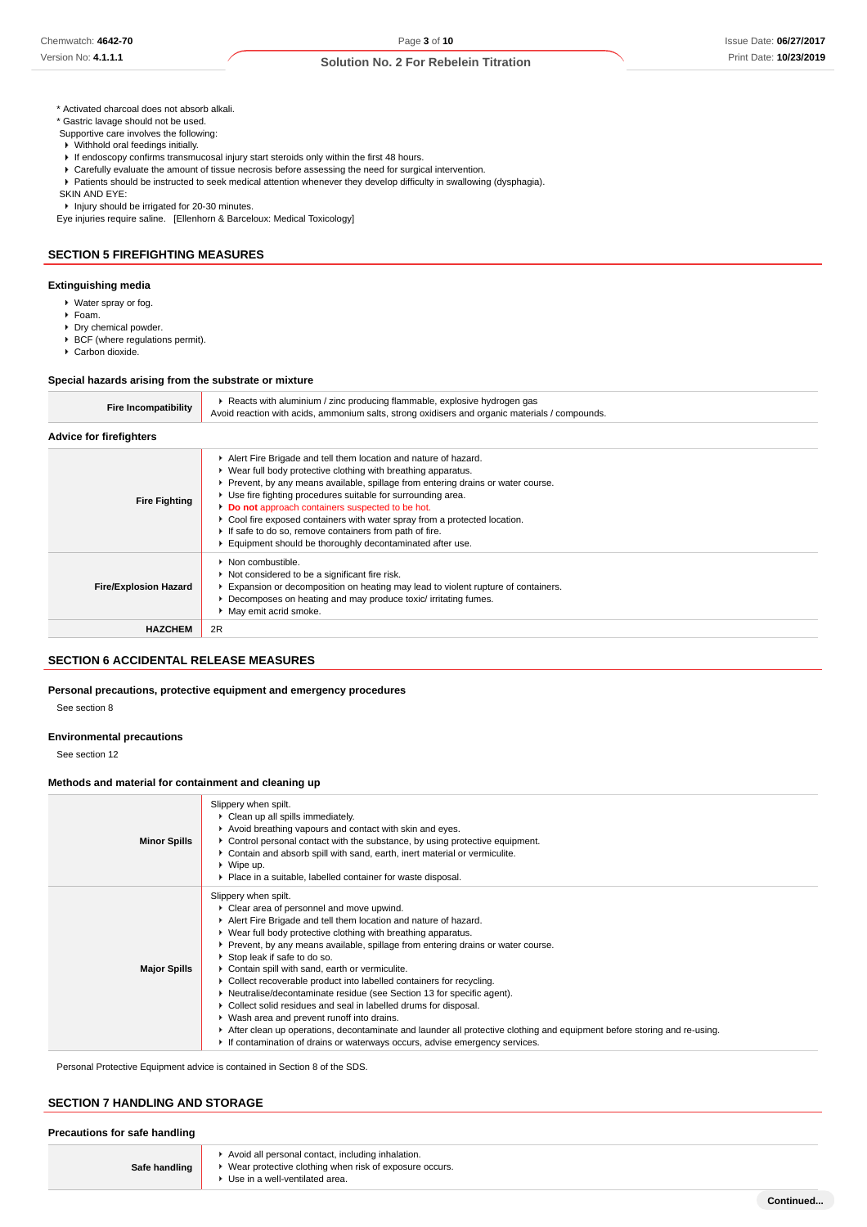**Continued...**

\* Activated charcoal does not absorb alkali.

\* Gastric lavage should not be used.

 Supportive care involves the following: Withhold oral feedings initially.

- 
- If endoscopy confirms transmucosal injury start steroids only within the first 48 hours. Carefully evaluate the amount of tissue necrosis before assessing the need for surgical intervention.
- Patients should be instructed to seek medical attention whenever they develop difficulty in swallowing (dysphagia).
- SKIN AND EYE:

▶ Injury should be irrigated for 20-30 minutes.

Eye injuries require saline. [Ellenhorn & Barceloux: Medical Toxicology]

## **SECTION 5 FIREFIGHTING MEASURES**

### **Extinguishing media**

- Water spray or fog.
- Foam.
- Dry chemical powder.
- $\triangleright$  BCF (where regulations permit).
- ▶ Carbon dioxide.

#### **Special hazards arising from the substrate or mixture**

| <b>Fire Incompatibility</b>    | ▶ Reacts with aluminium / zinc producing flammable, explosive hydrogen gas<br>Avoid reaction with acids, ammonium salts, strong oxidisers and organic materials / compounds.                                                                                                                                                                                                                                                                                                                                                                   |
|--------------------------------|------------------------------------------------------------------------------------------------------------------------------------------------------------------------------------------------------------------------------------------------------------------------------------------------------------------------------------------------------------------------------------------------------------------------------------------------------------------------------------------------------------------------------------------------|
| <b>Advice for firefighters</b> |                                                                                                                                                                                                                                                                                                                                                                                                                                                                                                                                                |
| <b>Fire Fighting</b>           | Alert Fire Brigade and tell them location and nature of hazard.<br>▶ Wear full body protective clothing with breathing apparatus.<br>▶ Prevent, by any means available, spillage from entering drains or water course.<br>▶ Use fire fighting procedures suitable for surrounding area.<br>Do not approach containers suspected to be hot.<br>► Cool fire exposed containers with water spray from a protected location.<br>If safe to do so, remove containers from path of fire.<br>Equipment should be thoroughly decontaminated after use. |
| <b>Fire/Explosion Hazard</b>   | • Non combustible.<br>Not considered to be a significant fire risk.<br>Expansion or decomposition on heating may lead to violent rupture of containers.<br>▶ Decomposes on heating and may produce toxic/ irritating fumes.<br>May emit acrid smoke.                                                                                                                                                                                                                                                                                           |
| <b>HAZCHEM</b>                 | 2R                                                                                                                                                                                                                                                                                                                                                                                                                                                                                                                                             |

### **SECTION 6 ACCIDENTAL RELEASE MEASURES**

**Personal precautions, protective equipment and emergency procedures**

See section 8

#### **Environmental precautions**

See section 12

#### **Methods and material for containment and cleaning up**

| <b>Minor Spills</b> | Slippery when spilt.<br>Clean up all spills immediately.<br>Avoid breathing vapours and contact with skin and eyes.<br>► Control personal contact with the substance, by using protective equipment.<br>► Contain and absorb spill with sand, earth, inert material or vermiculite.<br>$\triangleright$ Wipe up.<br>▶ Place in a suitable, labelled container for waste disposal.                                                                                                                                                                                                                                                                                                                                                                                                                                                                            |
|---------------------|--------------------------------------------------------------------------------------------------------------------------------------------------------------------------------------------------------------------------------------------------------------------------------------------------------------------------------------------------------------------------------------------------------------------------------------------------------------------------------------------------------------------------------------------------------------------------------------------------------------------------------------------------------------------------------------------------------------------------------------------------------------------------------------------------------------------------------------------------------------|
| <b>Major Spills</b> | Slippery when spilt.<br>Clear area of personnel and move upwind.<br>Alert Fire Brigade and tell them location and nature of hazard.<br>▶ Wear full body protective clothing with breathing apparatus.<br>▶ Prevent, by any means available, spillage from entering drains or water course.<br>Stop leak if safe to do so.<br>Contain spill with sand, earth or vermiculite.<br>▶ Collect recoverable product into labelled containers for recycling.<br>► Neutralise/decontaminate residue (see Section 13 for specific agent).<br>• Collect solid residues and seal in labelled drums for disposal.<br>▶ Wash area and prevent runoff into drains.<br>After clean up operations, decontaminate and launder all protective clothing and equipment before storing and re-using.<br>If contamination of drains or waterways occurs, advise emergency services. |

Personal Protective Equipment advice is contained in Section 8 of the SDS.

#### **SECTION 7 HANDLING AND STORAGE**

#### **Precautions for safe handling**

|               | Avoid all personal contact, including inhalation.        |
|---------------|----------------------------------------------------------|
| Safe handling | • Wear protective clothing when risk of exposure occurs. |
|               | Use in a well-ventilated area.                           |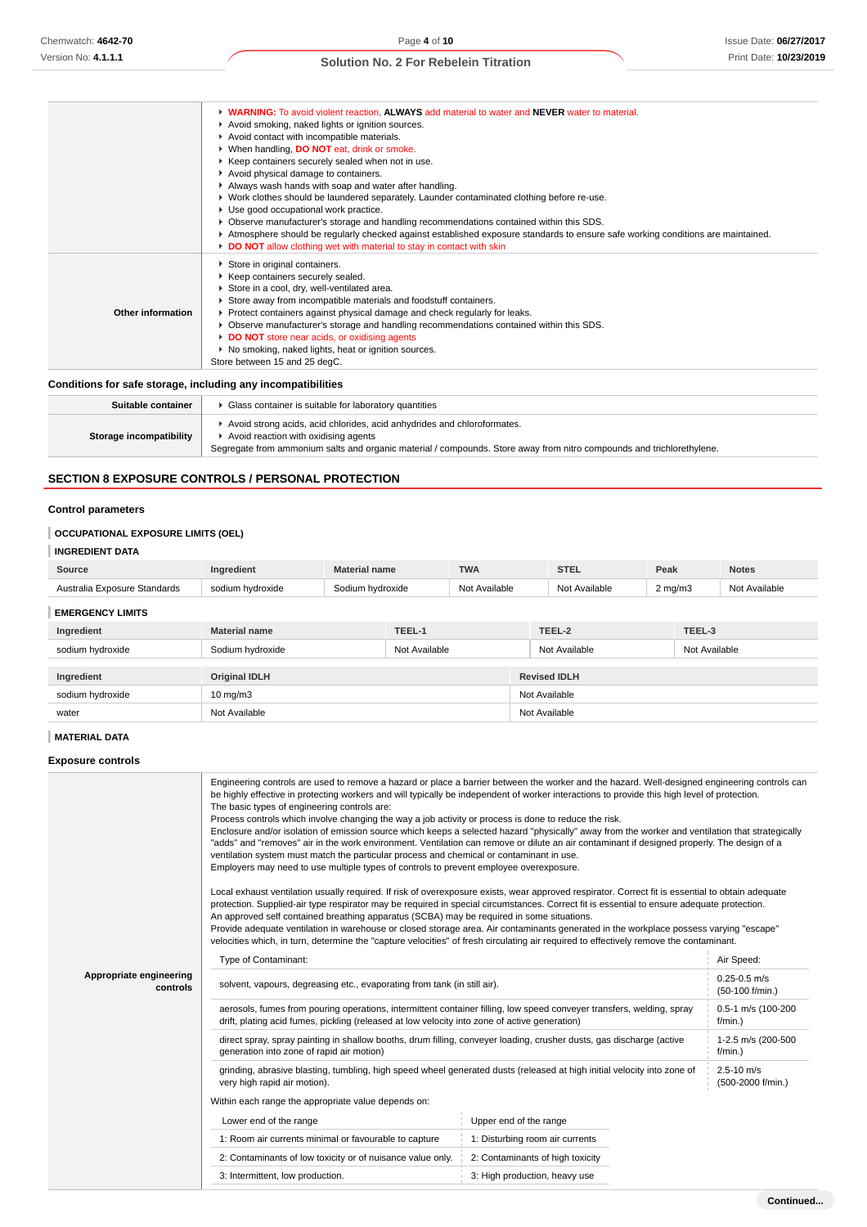**WARNING:** To avoid violent reaction, **ALWAYS** add material to water and **NEVER** water to material.

|                          | Avoid smoking, naked lights or ignition sources.                                                                                |
|--------------------------|---------------------------------------------------------------------------------------------------------------------------------|
|                          | Avoid contact with incompatible materials.                                                                                      |
|                          | ▶ When handling, DO NOT eat, drink or smoke.                                                                                    |
|                          | ▶ Keep containers securely sealed when not in use.                                                                              |
|                          | Avoid physical damage to containers.                                                                                            |
|                          | Always wash hands with soap and water after handling.                                                                           |
|                          | ▶ Work clothes should be laundered separately. Launder contaminated clothing before re-use.                                     |
|                          | Use good occupational work practice.                                                                                            |
|                          | ▶ Observe manufacturer's storage and handling recommendations contained within this SDS.                                        |
|                          | Atmosphere should be regularly checked against established exposure standards to ensure safe working conditions are maintained. |
|                          | DO NOT allow clothing wet with material to stay in contact with skin                                                            |
|                          |                                                                                                                                 |
|                          | ▶ Keep containers securely sealed.                                                                                              |
|                          | Store in a cool, dry, well-ventilated area.                                                                                     |
|                          | Store away from incompatible materials and foodstuff containers.                                                                |
| <b>Other information</b> | ▶ Protect containers against physical damage and check regularly for leaks.                                                     |
|                          | ▶ Observe manufacturer's storage and handling recommendations contained within this SDS.                                        |
|                          | DO NOT store near acids, or oxidising agents                                                                                    |
|                          | ▶ No smoking, naked lights, heat or ignition sources.                                                                           |
|                          | Store between 15 and 25 degC.                                                                                                   |
|                          | Store in original containers.                                                                                                   |

## **Conditions for safe storage, including any incompatibilities**

| Suitable container      | Glass container is suitable for laboratory quantities                                                                                                                                                                                    |
|-------------------------|------------------------------------------------------------------------------------------------------------------------------------------------------------------------------------------------------------------------------------------|
| Storage incompatibility | Avoid strong acids, acid chlorides, acid anhydrides and chloroformates.<br>Avoid reaction with oxidising agents<br>Segregate from ammonium salts and organic material / compounds. Store away from nitro compounds and trichlorethylene. |

# **SECTION 8 EXPOSURE CONTROLS / PERSONAL PROTECTION**

### **Control parameters**

# **OCCUPATIONAL EXPOSURE LIMITS (OEL)**

## **INGREDIENT DATA**

| Source                       | Ingredient                        | <b>Material name</b> |                                   | <b>TWA</b> |               | <b>STEL</b>         | Peak             |  | <b>Notes</b>  |
|------------------------------|-----------------------------------|----------------------|-----------------------------------|------------|---------------|---------------------|------------------|--|---------------|
| Australia Exposure Standards | sodium hydroxide                  |                      | Sodium hydroxide<br>Not Available |            |               | Not Available       | $2 \text{ mg/m}$ |  | Not Available |
| <b>EMERGENCY LIMITS</b>      |                                   |                      |                                   |            |               |                     |                  |  |               |
| Ingredient                   | TEEL-1<br><b>Material name</b>    |                      |                                   |            | TEEL-2        |                     | TEEL-3           |  |               |
| sodium hydroxide             | Sodium hydroxide<br>Not Available |                      |                                   |            | Not Available |                     | Not Available    |  |               |
| Ingredient                   | <b>Original IDLH</b>              |                      |                                   |            |               | <b>Revised IDLH</b> |                  |  |               |
| sodium hydroxide             | $10 \text{ mg/m}$                 |                      |                                   |            | Not Available |                     |                  |  |               |
| water                        | Not Available                     |                      |                                   |            | Not Available |                     |                  |  |               |

# **MATERIAL DATA**

**Exposure controls**

|                                     | Engineering controls are used to remove a hazard or place a barrier between the worker and the hazard. Well-designed engineering controls can<br>be highly effective in protecting workers and will typically be independent of worker interactions to provide this high level of protection.<br>The basic types of engineering controls are:<br>Process controls which involve changing the way a job activity or process is done to reduce the risk.<br>Enclosure and/or isolation of emission source which keeps a selected hazard "physically" away from the worker and ventilation that strategically<br>"adds" and "removes" air in the work environment. Ventilation can remove or dilute an air contaminant if designed properly. The design of a<br>ventilation system must match the particular process and chemical or contaminant in use.<br>Employers may need to use multiple types of controls to prevent employee overexposure.<br>Local exhaust ventilation usually required. If risk of overexposure exists, wear approved respirator. Correct fit is essential to obtain adequate<br>protection. Supplied-air type respirator may be required in special circumstances. Correct fit is essential to ensure adequate protection.<br>An approved self contained breathing apparatus (SCBA) may be required in some situations.<br>Provide adequate ventilation in warehouse or closed storage area. Air contaminants generated in the workplace possess varying "escape"<br>velocities which, in turn, determine the "capture velocities" of fresh circulating air required to effectively remove the contaminant. |                                     |                                     |  |  |
|-------------------------------------|-------------------------------------------------------------------------------------------------------------------------------------------------------------------------------------------------------------------------------------------------------------------------------------------------------------------------------------------------------------------------------------------------------------------------------------------------------------------------------------------------------------------------------------------------------------------------------------------------------------------------------------------------------------------------------------------------------------------------------------------------------------------------------------------------------------------------------------------------------------------------------------------------------------------------------------------------------------------------------------------------------------------------------------------------------------------------------------------------------------------------------------------------------------------------------------------------------------------------------------------------------------------------------------------------------------------------------------------------------------------------------------------------------------------------------------------------------------------------------------------------------------------------------------------------------------------------------------------------------------------------------------|-------------------------------------|-------------------------------------|--|--|
|                                     | Type of Contaminant:                                                                                                                                                                                                                                                                                                                                                                                                                                                                                                                                                                                                                                                                                                                                                                                                                                                                                                                                                                                                                                                                                                                                                                                                                                                                                                                                                                                                                                                                                                                                                                                                                | Air Speed:                          |                                     |  |  |
| Appropriate engineering<br>controls | solvent, vapours, degreasing etc., evaporating from tank (in still air).                                                                                                                                                                                                                                                                                                                                                                                                                                                                                                                                                                                                                                                                                                                                                                                                                                                                                                                                                                                                                                                                                                                                                                                                                                                                                                                                                                                                                                                                                                                                                            | $0.25 - 0.5$ m/s<br>(50-100 f/min.) |                                     |  |  |
|                                     | aerosols, fumes from pouring operations, intermittent container filling, low speed conveyer transfers, welding, spray<br>drift, plating acid fumes, pickling (released at low velocity into zone of active generation)                                                                                                                                                                                                                                                                                                                                                                                                                                                                                                                                                                                                                                                                                                                                                                                                                                                                                                                                                                                                                                                                                                                                                                                                                                                                                                                                                                                                              | 0.5-1 m/s (100-200<br>$f/min.$ )    |                                     |  |  |
|                                     | direct spray, spray painting in shallow booths, drum filling, conveyer loading, crusher dusts, gas discharge (active<br>generation into zone of rapid air motion)                                                                                                                                                                                                                                                                                                                                                                                                                                                                                                                                                                                                                                                                                                                                                                                                                                                                                                                                                                                                                                                                                                                                                                                                                                                                                                                                                                                                                                                                   | 1-2.5 m/s (200-500<br>$f/min.$ )    |                                     |  |  |
|                                     | grinding, abrasive blasting, tumbling, high speed wheel generated dusts (released at high initial velocity into zone of<br>very high rapid air motion).                                                                                                                                                                                                                                                                                                                                                                                                                                                                                                                                                                                                                                                                                                                                                                                                                                                                                                                                                                                                                                                                                                                                                                                                                                                                                                                                                                                                                                                                             |                                     | $2.5 - 10$ m/s<br>(500-2000 f/min.) |  |  |
|                                     | Within each range the appropriate value depends on:                                                                                                                                                                                                                                                                                                                                                                                                                                                                                                                                                                                                                                                                                                                                                                                                                                                                                                                                                                                                                                                                                                                                                                                                                                                                                                                                                                                                                                                                                                                                                                                 |                                     |                                     |  |  |
|                                     | Lower end of the range                                                                                                                                                                                                                                                                                                                                                                                                                                                                                                                                                                                                                                                                                                                                                                                                                                                                                                                                                                                                                                                                                                                                                                                                                                                                                                                                                                                                                                                                                                                                                                                                              | Upper end of the range              |                                     |  |  |
|                                     | 1: Room air currents minimal or favourable to capture                                                                                                                                                                                                                                                                                                                                                                                                                                                                                                                                                                                                                                                                                                                                                                                                                                                                                                                                                                                                                                                                                                                                                                                                                                                                                                                                                                                                                                                                                                                                                                               | 1: Disturbing room air currents     |                                     |  |  |
|                                     | 2: Contaminants of low toxicity or of nuisance value only.                                                                                                                                                                                                                                                                                                                                                                                                                                                                                                                                                                                                                                                                                                                                                                                                                                                                                                                                                                                                                                                                                                                                                                                                                                                                                                                                                                                                                                                                                                                                                                          | 2: Contaminants of high toxicity    |                                     |  |  |
|                                     | 3: Intermittent, low production.                                                                                                                                                                                                                                                                                                                                                                                                                                                                                                                                                                                                                                                                                                                                                                                                                                                                                                                                                                                                                                                                                                                                                                                                                                                                                                                                                                                                                                                                                                                                                                                                    | 3: High production, heavy use       |                                     |  |  |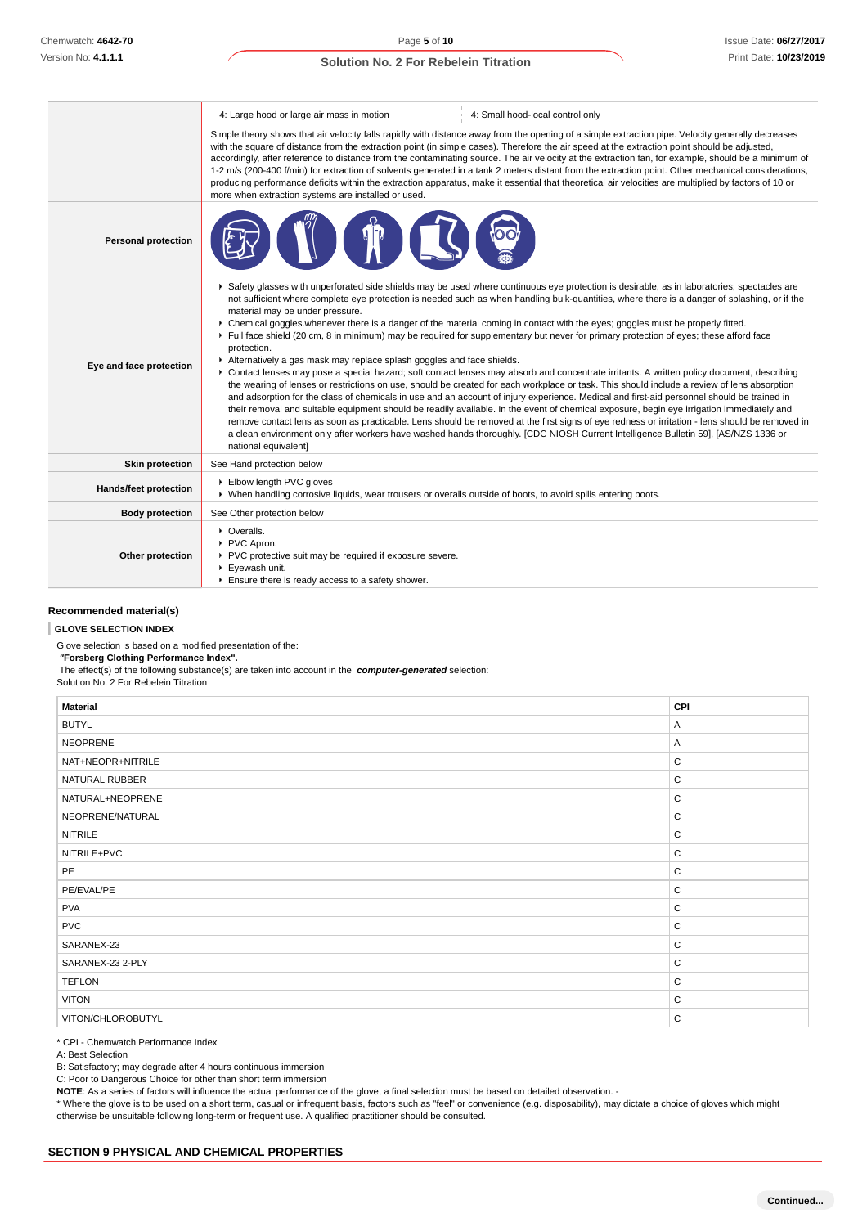|                            | 4: Large hood or large air mass in motion                                                                                                                                                                                                                                                                                                                                                                                                                                                                                                                                                                                                                                                                                                                                                                                      | 4: Small hood-local control only                                                                                                                                                                                                                                                                                                                                                                                                                                                                                                                                                                                                                                                                                                                                                                                                                                                                                                                                                                                                                                                                                                                                                                                                                                                                                                                                                                                                                          |  |  |  |
|----------------------------|--------------------------------------------------------------------------------------------------------------------------------------------------------------------------------------------------------------------------------------------------------------------------------------------------------------------------------------------------------------------------------------------------------------------------------------------------------------------------------------------------------------------------------------------------------------------------------------------------------------------------------------------------------------------------------------------------------------------------------------------------------------------------------------------------------------------------------|-----------------------------------------------------------------------------------------------------------------------------------------------------------------------------------------------------------------------------------------------------------------------------------------------------------------------------------------------------------------------------------------------------------------------------------------------------------------------------------------------------------------------------------------------------------------------------------------------------------------------------------------------------------------------------------------------------------------------------------------------------------------------------------------------------------------------------------------------------------------------------------------------------------------------------------------------------------------------------------------------------------------------------------------------------------------------------------------------------------------------------------------------------------------------------------------------------------------------------------------------------------------------------------------------------------------------------------------------------------------------------------------------------------------------------------------------------------|--|--|--|
|                            | Simple theory shows that air velocity falls rapidly with distance away from the opening of a simple extraction pipe. Velocity generally decreases<br>with the square of distance from the extraction point (in simple cases). Therefore the air speed at the extraction point should be adjusted,<br>accordingly, after reference to distance from the contaminating source. The air velocity at the extraction fan, for example, should be a minimum of<br>1-2 m/s (200-400 f/min) for extraction of solvents generated in a tank 2 meters distant from the extraction point. Other mechanical considerations,<br>producing performance deficits within the extraction apparatus, make it essential that theoretical air velocities are multiplied by factors of 10 or<br>more when extraction systems are installed or used. |                                                                                                                                                                                                                                                                                                                                                                                                                                                                                                                                                                                                                                                                                                                                                                                                                                                                                                                                                                                                                                                                                                                                                                                                                                                                                                                                                                                                                                                           |  |  |  |
| <b>Personal protection</b> |                                                                                                                                                                                                                                                                                                                                                                                                                                                                                                                                                                                                                                                                                                                                                                                                                                |                                                                                                                                                                                                                                                                                                                                                                                                                                                                                                                                                                                                                                                                                                                                                                                                                                                                                                                                                                                                                                                                                                                                                                                                                                                                                                                                                                                                                                                           |  |  |  |
| Eye and face protection    | material may be under pressure.<br>protection.<br>Alternatively a gas mask may replace splash goggles and face shields.<br>national equivalent]                                                                                                                                                                                                                                                                                                                                                                                                                                                                                                                                                                                                                                                                                | ▶ Safety glasses with unperforated side shields may be used where continuous eye protection is desirable, as in laboratories; spectacles are<br>not sufficient where complete eye protection is needed such as when handling bulk-quantities, where there is a danger of splashing, or if the<br>▶ Chemical goggles whenever there is a danger of the material coming in contact with the eyes; goggles must be properly fitted.<br>Full face shield (20 cm, 8 in minimum) may be required for supplementary but never for primary protection of eyes; these afford face<br>▶ Contact lenses may pose a special hazard; soft contact lenses may absorb and concentrate irritants. A written policy document, describing<br>the wearing of lenses or restrictions on use, should be created for each workplace or task. This should include a review of lens absorption<br>and adsorption for the class of chemicals in use and an account of injury experience. Medical and first-aid personnel should be trained in<br>their removal and suitable equipment should be readily available. In the event of chemical exposure, begin eye irrigation immediately and<br>remove contact lens as soon as practicable. Lens should be removed at the first signs of eye redness or irritation - lens should be removed in<br>a clean environment only after workers have washed hands thoroughly. [CDC NIOSH Current Intelligence Bulletin 59], [AS/NZS 1336 or |  |  |  |
| <b>Skin protection</b>     | See Hand protection below                                                                                                                                                                                                                                                                                                                                                                                                                                                                                                                                                                                                                                                                                                                                                                                                      |                                                                                                                                                                                                                                                                                                                                                                                                                                                                                                                                                                                                                                                                                                                                                                                                                                                                                                                                                                                                                                                                                                                                                                                                                                                                                                                                                                                                                                                           |  |  |  |
| Hands/feet protection      | Elbow length PVC gloves<br>▶ When handling corrosive liquids, wear trousers or overalls outside of boots, to avoid spills entering boots.                                                                                                                                                                                                                                                                                                                                                                                                                                                                                                                                                                                                                                                                                      |                                                                                                                                                                                                                                                                                                                                                                                                                                                                                                                                                                                                                                                                                                                                                                                                                                                                                                                                                                                                                                                                                                                                                                                                                                                                                                                                                                                                                                                           |  |  |  |
| <b>Body protection</b>     | See Other protection below                                                                                                                                                                                                                                                                                                                                                                                                                                                                                                                                                                                                                                                                                                                                                                                                     |                                                                                                                                                                                                                                                                                                                                                                                                                                                                                                                                                                                                                                                                                                                                                                                                                                                                                                                                                                                                                                                                                                                                                                                                                                                                                                                                                                                                                                                           |  |  |  |
| Other protection           | • Overalls.<br>PVC Apron.<br>PVC protective suit may be required if exposure severe.<br>▶ Eyewash unit.<br>Ensure there is ready access to a safety shower.                                                                                                                                                                                                                                                                                                                                                                                                                                                                                                                                                                                                                                                                    |                                                                                                                                                                                                                                                                                                                                                                                                                                                                                                                                                                                                                                                                                                                                                                                                                                                                                                                                                                                                                                                                                                                                                                                                                                                                                                                                                                                                                                                           |  |  |  |

### **Recommended material(s)**

#### **GLOVE SELECTION INDEX**

Glove selection is based on a modified presentation of the:  **"Forsberg Clothing Performance Index".**

The effect(s) of the following substance(s) are taken into account in the **computer-generated** selection:

Solution No. 2 For Rebelein Titration

| <b>Material</b>   | CPI          |
|-------------------|--------------|
| <b>BUTYL</b>      | Α            |
| <b>NEOPRENE</b>   | A            |
| NAT+NEOPR+NITRILE | $\mathsf C$  |
| NATURAL RUBBER    | $\mathsf C$  |
| NATURAL+NEOPRENE  | C            |
| NEOPRENE/NATURAL  | C            |
| <b>NITRILE</b>    | $\mathsf C$  |
| NITRILE+PVC       | C            |
| PE                | C            |
| PE/EVAL/PE        | $\mathsf C$  |
| <b>PVA</b>        | C            |
| <b>PVC</b>        | C            |
| SARANEX-23        | C            |
| SARANEX-23 2-PLY  | C            |
| <b>TEFLON</b>     | C            |
| <b>VITON</b>      | $\mathsf{C}$ |
| VITON/CHLOROBUTYL | C            |

\* CPI - Chemwatch Performance Index

A: Best Selection

B: Satisfactory; may degrade after 4 hours continuous immersion

C: Poor to Dangerous Choice for other than short term immersion

**NOTE**: As a series of factors will influence the actual performance of the glove, a final selection must be based on detailed observation. -

\* Where the glove is to be used on a short term, casual or infrequent basis, factors such as "feel" or convenience (e.g. disposability), may dictate a choice of gloves which might otherwise be unsuitable following long-term or frequent use. A qualified practitioner should be consulted.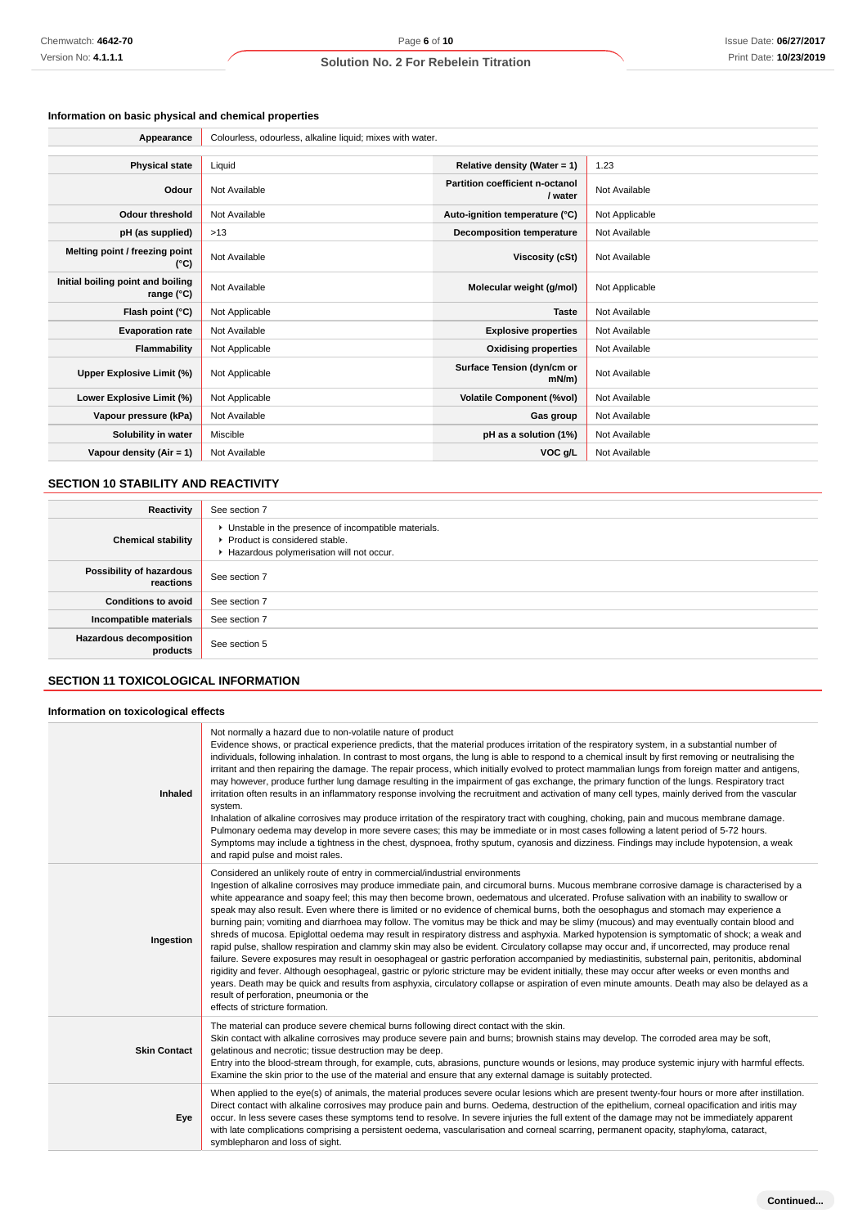# **Information on basic physical and chemical properties**

| Appearance                                      | Colourless, odourless, alkaline liquid; mixes with water. |                                            |                |
|-------------------------------------------------|-----------------------------------------------------------|--------------------------------------------|----------------|
|                                                 |                                                           |                                            |                |
| <b>Physical state</b>                           | Liquid                                                    | Relative density (Water = 1)               | 1.23           |
| Odour                                           | Not Available                                             | Partition coefficient n-octanol<br>/ water | Not Available  |
| <b>Odour threshold</b>                          | Not Available                                             | Auto-ignition temperature (°C)             | Not Applicable |
| pH (as supplied)                                | >13                                                       | <b>Decomposition temperature</b>           | Not Available  |
| Melting point / freezing point<br>(°C)          | Not Available                                             | Viscosity (cSt)                            | Not Available  |
| Initial boiling point and boiling<br>range (°C) | Not Available                                             | Molecular weight (g/mol)                   | Not Applicable |
| Flash point (°C)                                | Not Applicable                                            | <b>Taste</b>                               | Not Available  |
| <b>Evaporation rate</b>                         | Not Available                                             | <b>Explosive properties</b>                | Not Available  |
| <b>Flammability</b>                             | Not Applicable                                            | <b>Oxidising properties</b>                | Not Available  |
| Upper Explosive Limit (%)                       | Not Applicable                                            | Surface Tension (dyn/cm or<br>$mN/m$ )     | Not Available  |
| Lower Explosive Limit (%)                       | Not Applicable                                            | <b>Volatile Component (%vol)</b>           | Not Available  |
| Vapour pressure (kPa)                           | Not Available                                             | Gas group                                  | Not Available  |
| Solubility in water                             | Miscible                                                  | pH as a solution (1%)                      | Not Available  |
| Vapour density (Air = 1)                        | Not Available                                             | VOC g/L                                    | Not Available  |

## **SECTION 10 STABILITY AND REACTIVITY**

| Reactivity                                 | See section 7                                                                                                                      |
|--------------------------------------------|------------------------------------------------------------------------------------------------------------------------------------|
| <b>Chemical stability</b>                  | • Unstable in the presence of incompatible materials.<br>Product is considered stable.<br>Hazardous polymerisation will not occur. |
| Possibility of hazardous<br>reactions      | See section 7                                                                                                                      |
| <b>Conditions to avoid</b>                 | See section 7                                                                                                                      |
| Incompatible materials                     | See section 7                                                                                                                      |
| <b>Hazardous decomposition</b><br>products | See section 5                                                                                                                      |

# **SECTION 11 TOXICOLOGICAL INFORMATION**

## **Information on toxicological effects**

| Inhaled             | Not normally a hazard due to non-volatile nature of product<br>Evidence shows, or practical experience predicts, that the material produces irritation of the respiratory system, in a substantial number of<br>individuals, following inhalation. In contrast to most organs, the lung is able to respond to a chemical insult by first removing or neutralising the<br>irritant and then repairing the damage. The repair process, which initially evolved to protect mammalian lungs from foreign matter and antigens,<br>may however, produce further lung damage resulting in the impairment of gas exchange, the primary function of the lungs. Respiratory tract<br>irritation often results in an inflammatory response involving the recruitment and activation of many cell types, mainly derived from the vascular<br>system.<br>Inhalation of alkaline corrosives may produce irritation of the respiratory tract with coughing, choking, pain and mucous membrane damage.<br>Pulmonary oedema may develop in more severe cases; this may be immediate or in most cases following a latent period of 5-72 hours.<br>Symptoms may include a tightness in the chest, dyspnoea, frothy sputum, cyanosis and dizziness. Findings may include hypotension, a weak<br>and rapid pulse and moist rales.                                                                                                                                                                                    |
|---------------------|-------------------------------------------------------------------------------------------------------------------------------------------------------------------------------------------------------------------------------------------------------------------------------------------------------------------------------------------------------------------------------------------------------------------------------------------------------------------------------------------------------------------------------------------------------------------------------------------------------------------------------------------------------------------------------------------------------------------------------------------------------------------------------------------------------------------------------------------------------------------------------------------------------------------------------------------------------------------------------------------------------------------------------------------------------------------------------------------------------------------------------------------------------------------------------------------------------------------------------------------------------------------------------------------------------------------------------------------------------------------------------------------------------------------------------------------------------------------------------------------------|
| Ingestion           | Considered an unlikely route of entry in commercial/industrial environments<br>Ingestion of alkaline corrosives may produce immediate pain, and circumoral burns. Mucous membrane corrosive damage is characterised by a<br>white appearance and soapy feel; this may then become brown, oedematous and ulcerated. Profuse salivation with an inability to swallow or<br>speak may also result. Even where there is limited or no evidence of chemical burns, both the oesophagus and stomach may experience a<br>burning pain; vomiting and diarrhoea may follow. The vomitus may be thick and may be slimy (mucous) and may eventually contain blood and<br>shreds of mucosa. Epiglottal oedema may result in respiratory distress and asphyxia. Marked hypotension is symptomatic of shock; a weak and<br>rapid pulse, shallow respiration and clammy skin may also be evident. Circulatory collapse may occur and, if uncorrected, may produce renal<br>failure. Severe exposures may result in oesophageal or gastric perforation accompanied by mediastinitis, substernal pain, peritonitis, abdominal<br>rigidity and fever. Although oesophageal, gastric or pyloric stricture may be evident initially, these may occur after weeks or even months and<br>years. Death may be quick and results from asphyxia, circulatory collapse or aspiration of even minute amounts. Death may also be delayed as a<br>result of perforation, pneumonia or the<br>effects of stricture formation. |
| <b>Skin Contact</b> | The material can produce severe chemical burns following direct contact with the skin.<br>Skin contact with alkaline corrosives may produce severe pain and burns; brownish stains may develop. The corroded area may be soft,<br>gelatinous and necrotic; tissue destruction may be deep.<br>Entry into the blood-stream through, for example, cuts, abrasions, puncture wounds or lesions, may produce systemic injury with harmful effects.<br>Examine the skin prior to the use of the material and ensure that any external damage is suitably protected.                                                                                                                                                                                                                                                                                                                                                                                                                                                                                                                                                                                                                                                                                                                                                                                                                                                                                                                                  |
| Eye                 | When applied to the eye(s) of animals, the material produces severe ocular lesions which are present twenty-four hours or more after instillation.<br>Direct contact with alkaline corrosives may produce pain and burns. Oedema, destruction of the epithelium, corneal opacification and iritis may<br>occur. In less severe cases these symptoms tend to resolve. In severe injuries the full extent of the damage may not be immediately apparent<br>with late complications comprising a persistent oedema, vascularisation and corneal scarring, permanent opacity, staphyloma, cataract,<br>symblepharon and loss of sight.                                                                                                                                                                                                                                                                                                                                                                                                                                                                                                                                                                                                                                                                                                                                                                                                                                                              |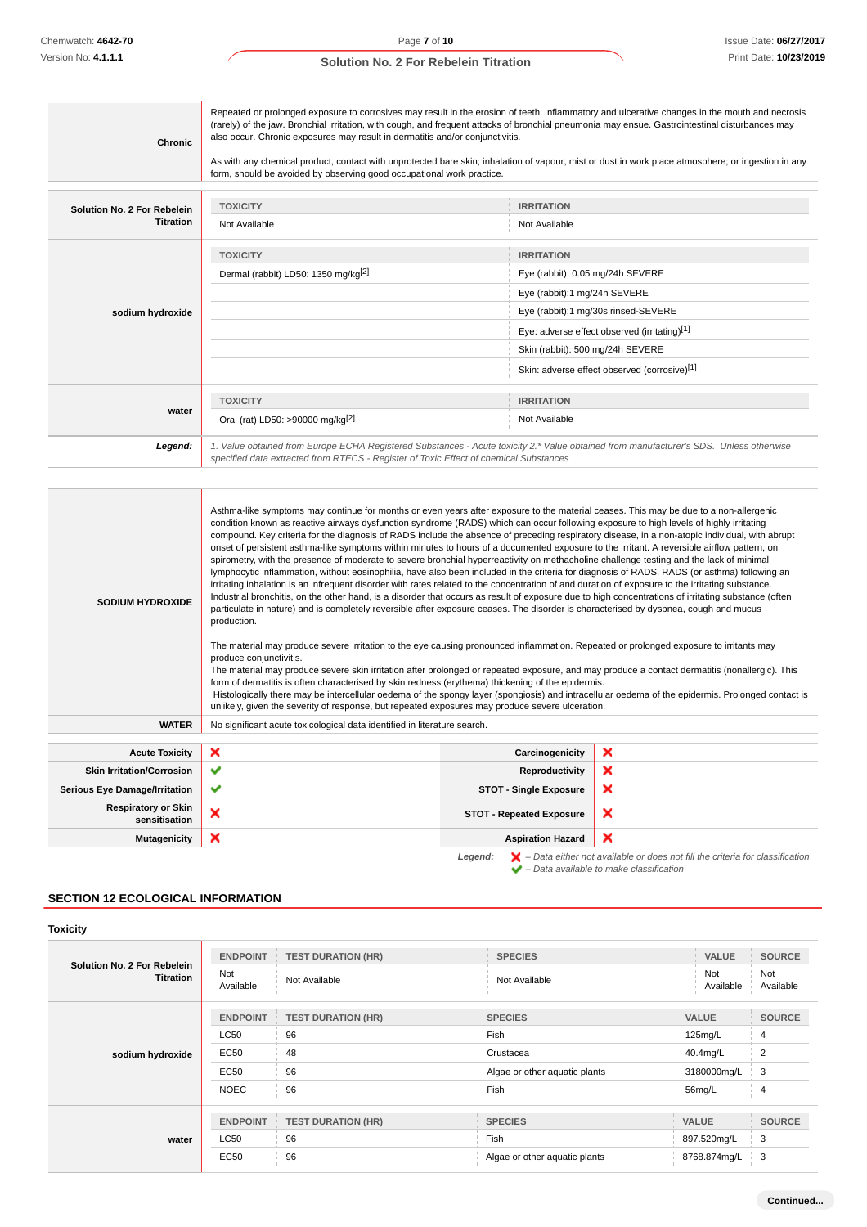| <b>Chronic</b>              | also occur. Chronic exposures may result in dermatitis and/or conjunctivitis.<br>form, should be avoided by observing good occupational work practice.                                                                                                                                                                                                                                                                                                                                                                                                                                                                                                                                                                                                                                                                                                                               | Repeated or prolonged exposure to corrosives may result in the erosion of teeth, inflammatory and ulcerative changes in the mouth and necrosis<br>(rarely) of the jaw. Bronchial irritation, with cough, and frequent attacks of bronchial pneumonia may ensue. Gastrointestinal disturbances may<br>As with any chemical product, contact with unprotected bare skin; inhalation of vapour, mist or dust in work place atmosphere; or ingestion in any |
|-----------------------------|--------------------------------------------------------------------------------------------------------------------------------------------------------------------------------------------------------------------------------------------------------------------------------------------------------------------------------------------------------------------------------------------------------------------------------------------------------------------------------------------------------------------------------------------------------------------------------------------------------------------------------------------------------------------------------------------------------------------------------------------------------------------------------------------------------------------------------------------------------------------------------------|---------------------------------------------------------------------------------------------------------------------------------------------------------------------------------------------------------------------------------------------------------------------------------------------------------------------------------------------------------------------------------------------------------------------------------------------------------|
| Solution No. 2 For Rebelein | <b>TOXICITY</b>                                                                                                                                                                                                                                                                                                                                                                                                                                                                                                                                                                                                                                                                                                                                                                                                                                                                      | <b>IRRITATION</b>                                                                                                                                                                                                                                                                                                                                                                                                                                       |
| <b>Titration</b>            | Not Available                                                                                                                                                                                                                                                                                                                                                                                                                                                                                                                                                                                                                                                                                                                                                                                                                                                                        | Not Available                                                                                                                                                                                                                                                                                                                                                                                                                                           |
|                             | <b>TOXICITY</b>                                                                                                                                                                                                                                                                                                                                                                                                                                                                                                                                                                                                                                                                                                                                                                                                                                                                      | <b>IRRITATION</b>                                                                                                                                                                                                                                                                                                                                                                                                                                       |
|                             | Dermal (rabbit) LD50: 1350 mg/kg <sup>[2]</sup>                                                                                                                                                                                                                                                                                                                                                                                                                                                                                                                                                                                                                                                                                                                                                                                                                                      | Eye (rabbit): 0.05 mg/24h SEVERE                                                                                                                                                                                                                                                                                                                                                                                                                        |
|                             |                                                                                                                                                                                                                                                                                                                                                                                                                                                                                                                                                                                                                                                                                                                                                                                                                                                                                      | Eye (rabbit):1 mg/24h SEVERE                                                                                                                                                                                                                                                                                                                                                                                                                            |
| sodium hydroxide            |                                                                                                                                                                                                                                                                                                                                                                                                                                                                                                                                                                                                                                                                                                                                                                                                                                                                                      | Eye (rabbit):1 mg/30s rinsed-SEVERE                                                                                                                                                                                                                                                                                                                                                                                                                     |
|                             |                                                                                                                                                                                                                                                                                                                                                                                                                                                                                                                                                                                                                                                                                                                                                                                                                                                                                      | Eye: adverse effect observed (irritating)[1]                                                                                                                                                                                                                                                                                                                                                                                                            |
|                             |                                                                                                                                                                                                                                                                                                                                                                                                                                                                                                                                                                                                                                                                                                                                                                                                                                                                                      | Skin (rabbit): 500 mg/24h SEVERE                                                                                                                                                                                                                                                                                                                                                                                                                        |
|                             |                                                                                                                                                                                                                                                                                                                                                                                                                                                                                                                                                                                                                                                                                                                                                                                                                                                                                      | Skin: adverse effect observed (corrosive)[1]                                                                                                                                                                                                                                                                                                                                                                                                            |
| water                       | <b>TOXICITY</b>                                                                                                                                                                                                                                                                                                                                                                                                                                                                                                                                                                                                                                                                                                                                                                                                                                                                      | <b>IRRITATION</b>                                                                                                                                                                                                                                                                                                                                                                                                                                       |
|                             | Oral (rat) LD50: >90000 mg/kg <sup>[2]</sup>                                                                                                                                                                                                                                                                                                                                                                                                                                                                                                                                                                                                                                                                                                                                                                                                                                         | Not Available                                                                                                                                                                                                                                                                                                                                                                                                                                           |
| Legend:                     | specified data extracted from RTECS - Register of Toxic Effect of chemical Substances                                                                                                                                                                                                                                                                                                                                                                                                                                                                                                                                                                                                                                                                                                                                                                                                | 1. Value obtained from Europe ECHA Registered Substances - Acute toxicity 2.* Value obtained from manufacturer's SDS. Unless otherwise                                                                                                                                                                                                                                                                                                                  |
| <b>SODIUM HYDROXIDE</b>     | Asthma-like symptoms may continue for months or even years after exposure to the material ceases. This may be due to a non-allergenic<br>condition known as reactive airways dysfunction syndrome (RADS) which can occur following exposure to high levels of highly irritating<br>onset of persistent asthma-like symptoms within minutes to hours of a documented exposure to the irritant. A reversible airflow pattern, on<br>spirometry, with the presence of moderate to severe bronchial hyperreactivity on methacholine challenge testing and the lack of minimal<br>irritating inhalation is an infrequent disorder with rates related to the concentration of and duration of exposure to the irritating substance.<br>particulate in nature) and is completely reversible after exposure ceases. The disorder is characterised by dyspnea, cough and mucus<br>production. | compound. Key criteria for the diagnosis of RADS include the absence of preceding respiratory disease, in a non-atopic individual, with abrupt<br>lymphocytic inflammation, without eosinophilia, have also been included in the criteria for diagnosis of RADS. RADS (or asthma) following an<br>Industrial bronchitis, on the other hand, is a disorder that occurs as result of exposure due to high concentrations of irritating substance (often   |

The material may produce severe irritation to the eye causing pronounced inflammation. Repeated or prolonged exposure to irritants may produce conjunctivitis. The material may produce severe skin irritation after prolonged or repeated exposure, and may produce a contact dermatitis (nonallergic). This

form of dermatitis is often characterised by skin redness (erythema) thickening of the epidermis.

 Histologically there may be intercellular oedema of the spongy layer (spongiosis) and intracellular oedema of the epidermis. Prolonged contact is unlikely, given the severity of response, but repeated exposures may produce severe ulceration.

|  | <b>WATER</b> No significant acute toxicological data identified in literature search. |
|--|---------------------------------------------------------------------------------------|
|--|---------------------------------------------------------------------------------------|

| <b>Acute Toxicity</b>                       | $\boldsymbol{\mathsf{x}}$ | Carcinogenicity                 | ×                                                                                                  |
|---------------------------------------------|---------------------------|---------------------------------|----------------------------------------------------------------------------------------------------|
| <b>Skin Irritation/Corrosion</b>            | ✔                         | Reproductivity                  | ×                                                                                                  |
| <b>Serious Eye Damage/Irritation</b>        | $\checkmark$              | <b>STOT - Single Exposure</b>   | ×                                                                                                  |
| <b>Respiratory or Skin</b><br>sensitisation | ×                         | <b>STOT - Repeated Exposure</b> | ×                                                                                                  |
| <b>Mutagenicity</b>                         | $\boldsymbol{\mathsf{x}}$ | <b>Aspiration Hazard</b>        | ×                                                                                                  |
|                                             |                           | Legend:                         | $\blacktriangleright$ - Data either not available or does not fill the criteria for classification |

 $\blacktriangleright$  – Data available to make classification

# **SECTION 12 ECOLOGICAL INFORMATION**

#### **Toxicity**

| Solution No. 2 For Rebelein<br>Titration | <b>ENDPOINT</b><br>Not<br>Available | <b>TEST DURATION (HR)</b><br>Not Available | <b>SPECIES</b><br>Not Available | <b>VALUE</b><br>Not<br>Available | <b>SOURCE</b><br>Not<br>Available |
|------------------------------------------|-------------------------------------|--------------------------------------------|---------------------------------|----------------------------------|-----------------------------------|
| sodium hydroxide                         | <b>ENDPOINT</b>                     | <b>TEST DURATION (HR)</b>                  | <b>SPECIES</b>                  | <b>VALUE</b>                     | <b>SOURCE</b>                     |
|                                          | <b>LC50</b>                         | 96                                         | Fish                            | 125mg/L                          | $\overline{4}$                    |
|                                          | <b>EC50</b>                         | 48                                         | Crustacea                       | 40.4mg/L                         | $\overline{2}$                    |
|                                          | <b>EC50</b>                         | 96                                         | Algae or other aquatic plants   | 3180000mg/L                      | 3                                 |
|                                          | <b>NOEC</b>                         | 96                                         | Fish                            | 56mg/L                           | 4                                 |
| water                                    | <b>ENDPOINT</b>                     | <b>TEST DURATION (HR)</b>                  | <b>SPECIES</b>                  | <b>VALUE</b>                     | <b>SOURCE</b>                     |
|                                          | <b>LC50</b>                         | 96                                         | Fish                            | 897.520mg/L                      | 3                                 |
|                                          | <b>EC50</b>                         | 96                                         | Algae or other aquatic plants   | 8768.874mg/L                     | 3                                 |
|                                          |                                     |                                            |                                 |                                  |                                   |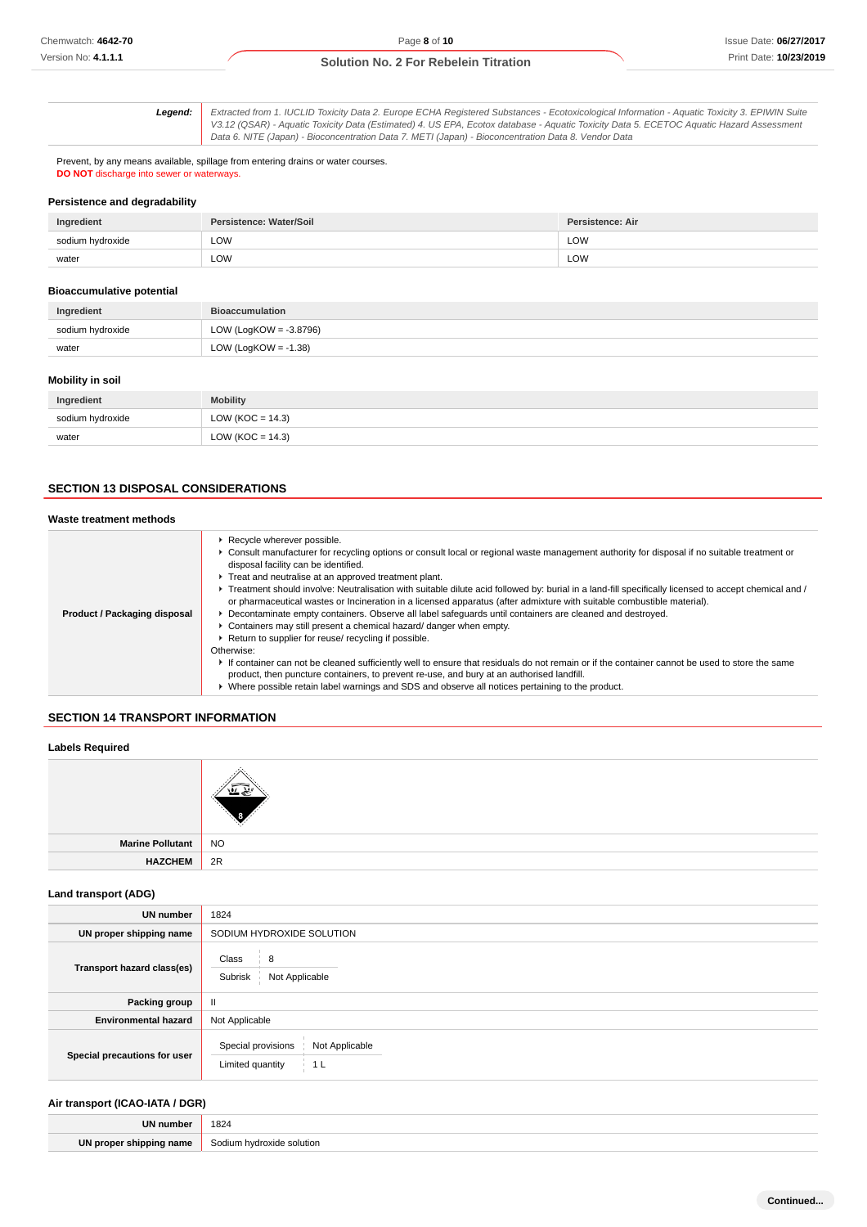**Legend:** Extracted from 1. IUCLID Toxicity Data 2. Europe ECHA Registered Substances - Ecotoxicological Information - Aquatic Toxicity 3. EPIWIN Suite V3.12 (QSAR) - Aquatic Toxicity Data (Estimated) 4. US EPA, Ecotox database - Aquatic Toxicity Data 5. ECETOC Aquatic Hazard Assessment Data 6. NITE (Japan) - Bioconcentration Data 7. METI (Japan) - Bioconcentration Data 8. Vendor Data

Prevent, by any means available, spillage from entering drains or water courses. **DO NOT** discharge into sewer or waterways.

### **Persistence and degradability**

| Ingredient       | Persistence: Water/Soil | Persistence: Air |
|------------------|-------------------------|------------------|
| sodium hydroxide | LOW<br>.                | LOW              |
| water            | LOW                     | LOW              |

#### **Bioaccumulative potential**

| Ingredient       | <b>Bioaccumulation</b>    |
|------------------|---------------------------|
| sodium hydroxide | LOW (LogKOW = $-3.8796$ ) |
| water            | LOW (LogKOW = $-1.38$ )   |
|                  |                           |

#### **Mobility in soil**

| Ingredient       | <b>Mobility</b>      |
|------------------|----------------------|
| sodium hydroxide | LOW ( $KOC = 14.3$ ) |
| water            | LOW ( $KOC = 14.3$ ) |

# **SECTION 13 DISPOSAL CONSIDERATIONS**

### **Waste treatment methods**

|                              | Recycle wherever possible.<br>• Consult manufacturer for recycling options or consult local or regional waste management authority for disposal if no suitable treatment or<br>disposal facility can be identified.<br>F Treat and neutralise at an approved treatment plant.<br>▶ Treatment should involve: Neutralisation with suitable dilute acid followed by: burial in a land-fill specifically licensed to accept chemical and /<br>or pharmaceutical wastes or Incineration in a licensed apparatus (after admixture with suitable combustible material). |
|------------------------------|-------------------------------------------------------------------------------------------------------------------------------------------------------------------------------------------------------------------------------------------------------------------------------------------------------------------------------------------------------------------------------------------------------------------------------------------------------------------------------------------------------------------------------------------------------------------|
| Product / Packaging disposal | ▶ Decontaminate empty containers. Observe all label safeguards until containers are cleaned and destroyed.                                                                                                                                                                                                                                                                                                                                                                                                                                                        |
|                              | • Containers may still present a chemical hazard/ danger when empty.<br>► Return to supplier for reuse/ recycling if possible.                                                                                                                                                                                                                                                                                                                                                                                                                                    |
|                              | Otherwise:                                                                                                                                                                                                                                                                                                                                                                                                                                                                                                                                                        |
|                              | If container can not be cleaned sufficiently well to ensure that residuals do not remain or if the container cannot be used to store the same<br>product, then puncture containers, to prevent re-use, and bury at an authorised landfill.                                                                                                                                                                                                                                                                                                                        |
|                              | ► Where possible retain label warnings and SDS and observe all notices pertaining to the product.                                                                                                                                                                                                                                                                                                                                                                                                                                                                 |

## **SECTION 14 TRANSPORT INFORMATION**

### **Labels Required**

| Marine Pollutant | NO |
|------------------|----|
| <b>HAZCHEM</b>   | 2R |

## **Land transport (ADG)**

| <b>UN number</b>             | 1824                                                                       |  |  |
|------------------------------|----------------------------------------------------------------------------|--|--|
| UN proper shipping name      | SODIUM HYDROXIDE SOLUTION                                                  |  |  |
| Transport hazard class(es)   | Class<br>8<br>Subrisk<br>Not Applicable                                    |  |  |
| Packing group                | Ш                                                                          |  |  |
| <b>Environmental hazard</b>  | Not Applicable                                                             |  |  |
| Special precautions for user | Special provisions<br>Not Applicable<br>Limited quantity<br>1 <sub>L</sub> |  |  |

### **Air transport (ICAO-IATA / DGR)**

| UN<br>  number | 1824        |
|----------------|-------------|
| UN             | Sodium      |
| name           | m hudrovide |
| snınn          | lution      |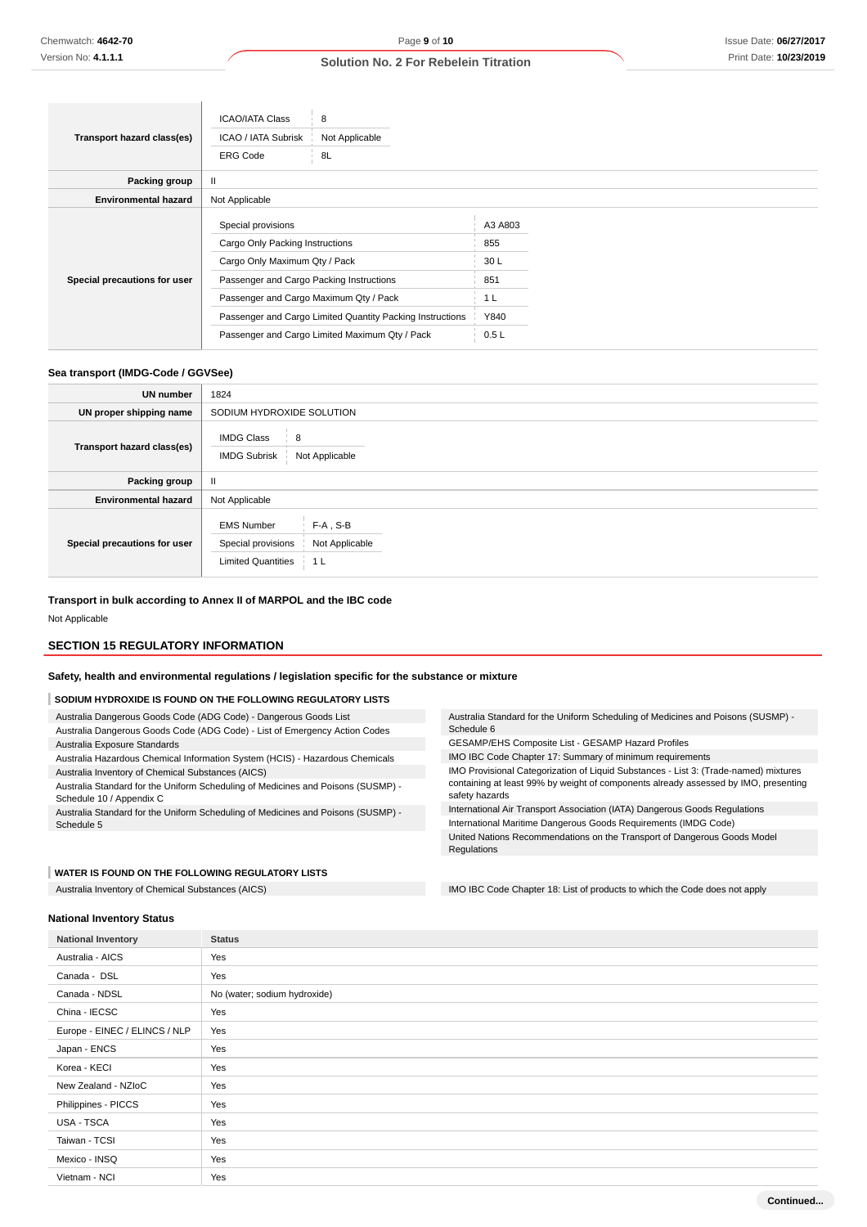|                              | <b>ICAO/IATA Class</b>                                                                                                                                                                                                                    | 8              |                                             |  |
|------------------------------|-------------------------------------------------------------------------------------------------------------------------------------------------------------------------------------------------------------------------------------------|----------------|---------------------------------------------|--|
| Transport hazard class(es)   | ICAO / IATA Subrisk                                                                                                                                                                                                                       | Not Applicable |                                             |  |
|                              | <b>ERG Code</b>                                                                                                                                                                                                                           | 8L             |                                             |  |
| Packing group                | Ш                                                                                                                                                                                                                                         |                |                                             |  |
| <b>Environmental hazard</b>  | Not Applicable                                                                                                                                                                                                                            |                |                                             |  |
| Special precautions for user | Special provisions<br>Cargo Only Packing Instructions<br>Cargo Only Maximum Qty / Pack<br>Passenger and Cargo Packing Instructions<br>Passenger and Cargo Maximum Qty / Pack<br>Passenger and Cargo Limited Quantity Packing Instructions |                | A3 A803<br>855<br>30L<br>851<br>1 L<br>Y840 |  |
|                              | Passenger and Cargo Limited Maximum Qty / Pack                                                                                                                                                                                            |                | 0.5L                                        |  |

### **Sea transport (IMDG-Code / GGVSee)**

| <b>UN number</b>             | 1824                                                                                                                    |  |  |  |
|------------------------------|-------------------------------------------------------------------------------------------------------------------------|--|--|--|
| UN proper shipping name      | SODIUM HYDROXIDE SOLUTION                                                                                               |  |  |  |
| Transport hazard class(es)   | <b>IMDG Class</b><br>8<br>Not Applicable<br><b>IMDG Subrisk</b>                                                         |  |  |  |
| Packing group                | $\mathbf{II}$                                                                                                           |  |  |  |
| <b>Environmental hazard</b>  | Not Applicable                                                                                                          |  |  |  |
| Special precautions for user | $F-A$ , S-B<br><b>EMS Number</b><br>Special provisions<br>Not Applicable<br><b>Limited Quantities</b><br>1 <sub>L</sub> |  |  |  |

Schedule 6

safety hazards

**Regulations** 

Australia Standard for the Uniform Scheduling of Medicines and Poisons (SUSMP) -

IMO Provisional Categorization of Liquid Substances - List 3: (Trade-named) mixtures containing at least 99% by weight of components already assessed by IMO, presenting

International Air Transport Association (IATA) Dangerous Goods Regulations International Maritime Dangerous Goods Requirements (IMDG Code) United Nations Recommendations on the Transport of Dangerous Goods Model

GESAMP/EHS Composite List - GESAMP Hazard Profiles IMO IBC Code Chapter 17: Summary of minimum requirements

#### **Transport in bulk according to Annex II of MARPOL and the IBC code**

Not Applicable

### **SECTION 15 REGULATORY INFORMATION**

**Safety, health and environmental regulations / legislation specific for the substance or mixture**

#### **SODIUM HYDROXIDE IS FOUND ON THE FOLLOWING REGULATORY LISTS**

Australia Dangerous Goods Code (ADG Code) - Dangerous Goods List Australia Dangerous Goods Code (ADG Code) - List of Emergency Action Codes

Australia Exposure Standards

Australia Hazardous Chemical Information System (HCIS) - Hazardous Chemicals Australia Inventory of Chemical Substances (AICS)

Australia Standard for the Uniform Scheduling of Medicines and Poisons (SUSMP) - Schedule 10 / Appendix C

Australia Standard for the Uniform Scheduling of Medicines and Poisons (SUSMP) - Schedule 5

#### **WATER IS FOUND ON THE FOLLOWING REGULATORY LISTS**

Australia Inventory of Chemical Substances (AICS) **IMO IBC Code Chapter 18:** List of products to which the Code does not apply

**National Inventory Status**

**National Inventory Status** Australia - AICS Yes Canada - DSL Yes Canada - NDSL No (water; sodium hydroxide) China - IECSC Yes Europe - EINEC / ELINCS / NLP Yes Japan - ENCS Yes Korea - KECI Yes New Zealand - NZIoC | Yes Philippines - PICCS Yes USA - TSCA Yes Taiwan - TCSI Yes Mexico - INSQ Yes Vietnam - NCI Yes